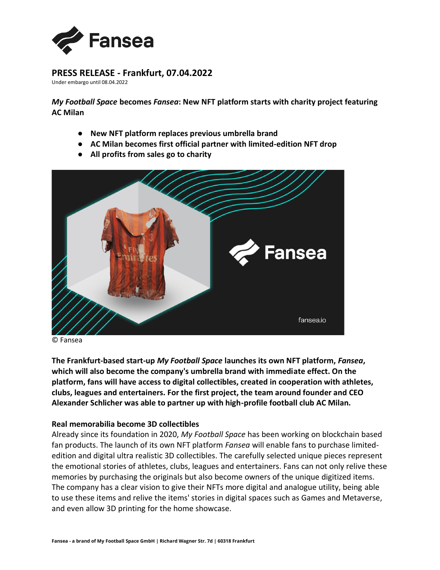

# **PRESS RELEASE - Frankfurt, 07.04.2022**

Under embargo until 08.04.2022

*My Football Space* **becomes** *Fansea***: New NFT platform starts with charity project featuring AC Milan**

- **New NFT platform replaces previous umbrella brand**
- **AC Milan becomes first official partner with limited-edition NFT drop**
- **All profits from sales go to charity**



© Fansea

**The Frankfurt-based start-up** *My Football Space* **launches its own NFT platform,** *Fansea***, which will also become the company's umbrella brand with immediate effect. On the platform, fans will have access to digital collectibles, created in cooperation with athletes, clubs, leagues and entertainers. For the first project, the team around founder and CEO Alexander Schlicher was able to partner up with high-profile football club AC Milan.**

## **Real memorabilia become 3D collectibles**

Already since its foundation in 2020, *My Football Space* has been working on blockchain based fan products. The launch of its own NFT platform *Fansea* will enable fans to purchase limitededition and digital ultra realistic 3D collectibles. The carefully selected unique pieces represent the emotional stories of athletes, clubs, leagues and entertainers. Fans can not only relive these memories by purchasing the originals but also become owners of the unique digitized items. The company has a clear vision to give their NFTs more digital and analogue utility, being able to use these items and relive the items' stories in digital spaces such as Games and Metaverse, and even allow 3D printing for the home showcase.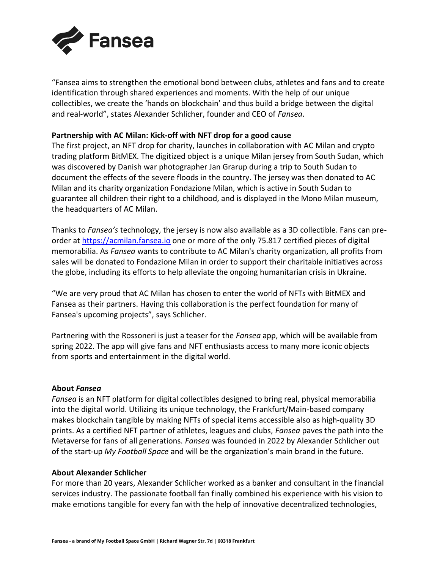

"Fansea aims to strengthen the emotional bond between clubs, athletes and fans and to create identification through shared experiences and moments. With the help of our unique collectibles, we create the 'hands on blockchain' and thus build a bridge between the digital and real-world", states Alexander Schlicher, founder and CEO of *Fansea*.

## **Partnership with AC Milan: Kick-off with NFT drop for a good cause**

The first project, an NFT drop for charity, launches in collaboration with AC Milan and crypto trading platform BitMEX. The digitized object is a unique Milan jersey from South Sudan, which was discovered by Danish war photographer Jan Grarup during a trip to South Sudan to document the effects of the severe floods in the country. The jersey was then donated to AC Milan and its charity organization Fondazione Milan, which is active in South Sudan to guarantee all children their right to a childhood, and is displayed in the Mono Milan museum, the headquarters of AC Milan.

Thanks to *Fansea's* technology, the jersey is now also available as a 3D collectible. Fans can preorder a[t](https://acmilan.fansea.io/) [https://acmilan.fansea.io](https://acmilan.fansea.io/) one or more of the only 75.817 certified pieces of digital memorabilia. As *Fansea* wants to contribute to AC Milan's charity organization, all profits from sales will be donated to Fondazione Milan in order to support their charitable initiatives across the globe, including its efforts to help alleviate the ongoing humanitarian crisis in Ukraine.

"We are very proud that AC Milan has chosen to enter the world of NFTs with BitMEX and Fansea as their partners. Having this collaboration is the perfect foundation for many of Fansea's upcoming projects", says Schlicher.

Partnering with the Rossoneri is just a teaser for the *Fansea* app, which will be available from spring 2022. The app will give fans and NFT enthusiasts access to many more iconic objects from sports and entertainment in the digital world.

### **About** *Fansea*

*Fansea* is an NFT platform for digital collectibles designed to bring real, physical memorabilia into the digital world. Utilizing its unique technology, the Frankfurt/Main-based company makes blockchain tangible by making NFTs of special items accessible also as high-quality 3D prints. As a certified NFT partner of athletes, leagues and clubs, *Fansea* paves the path into the Metaverse for fans of all generations. *Fansea* was founded in 2022 by Alexander Schlicher out of the start-up *My Football Space* and will be the organization's main brand in the future.

### **About Alexander Schlicher**

For more than 20 years, Alexander Schlicher worked as a banker and consultant in the financial services industry. The passionate football fan finally combined his experience with his vision to make emotions tangible for every fan with the help of innovative decentralized technologies,